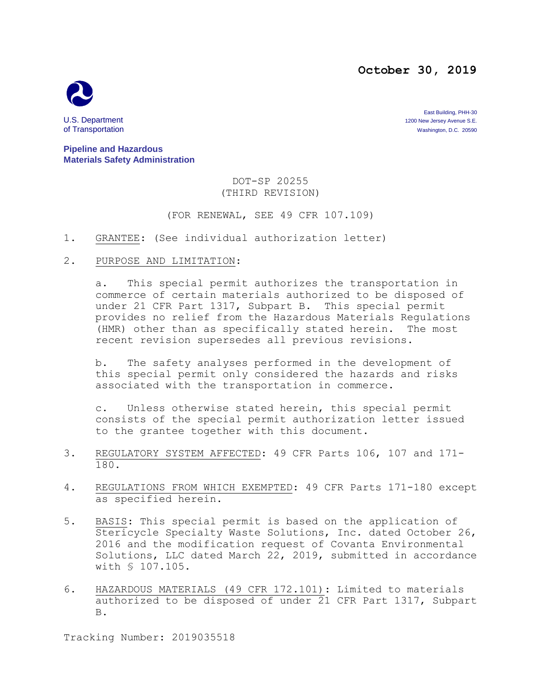## **October 30, 2019**



East Building, PHH-30 U.S. Department 1200 New Jersey Avenue S.E.<br>
1200 New Jersey Avenue S.E.<br>
1200 New Jersey Avenue S.E. 20590 Washington, D.C. 20590

**Pipeline and Hazardous Materials Safety Administration**

### DOT-SP 20255 (THIRD REVISION)

(FOR RENEWAL, SEE 49 CFR 107.109)

- 1. GRANTEE: (See individual authorization letter)
- 2. PURPOSE AND LIMITATION:

a. This special permit authorizes the transportation in commerce of certain materials authorized to be disposed of under 21 CFR Part 1317, Subpart B. This special permit provides no relief from the Hazardous Materials Regulations (HMR) other than as specifically stated herein. The most recent revision supersedes all previous revisions.

b. The safety analyses performed in the development of this special permit only considered the hazards and risks associated with the transportation in commerce.

c. Unless otherwise stated herein, this special permit consists of the special permit authorization letter issued to the grantee together with this document.

- 3. REGULATORY SYSTEM AFFECTED: 49 CFR Parts 106, 107 and 171- 180.
- 4. REGULATIONS FROM WHICH EXEMPTED: 49 CFR Parts 171-180 except as specified herein.
- 5. BASIS: This special permit is based on the application of Stericycle Specialty Waste Solutions, Inc. dated October 26, 2016 and the modification request of Covanta Environmental Solutions, LLC dated March 22, 2019, submitted in accordance with § 107.105.
- 6. HAZARDOUS MATERIALS (49 CFR 172.101): Limited to materials authorized to be disposed of under 21 CFR Part 1317, Subpart B.

Tracking Number: 2019035518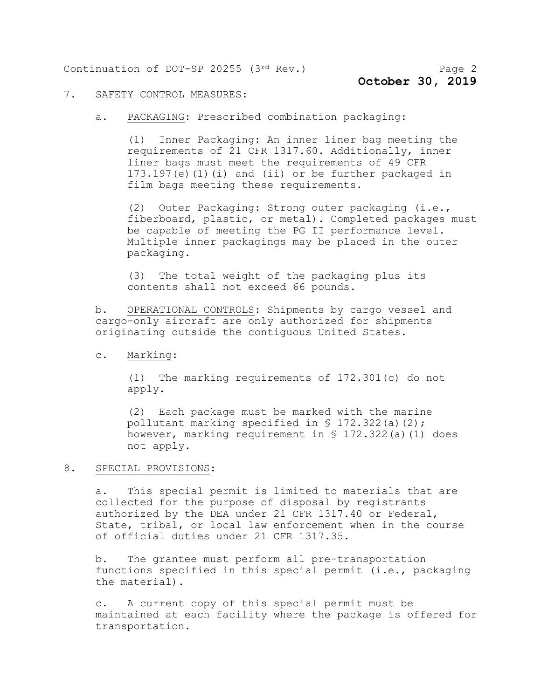Continuation of DOT-SP 20255 (3rd Rev.) Page 2

#### 7. SAFETY CONTROL MEASURES:

a. PACKAGING: Prescribed combination packaging:

(1) Inner Packaging: An inner liner bag meeting the requirements of 21 CFR 1317.60. Additionally, inner liner bags must meet the requirements of 49 CFR 173.197(e)(1)(i) and (ii) or be further packaged in film bags meeting these requirements.

(2) Outer Packaging: Strong outer packaging (i.e., fiberboard, plastic, or metal). Completed packages must be capable of meeting the PG II performance level. Multiple inner packagings may be placed in the outer packaging.

(3) The total weight of the packaging plus its contents shall not exceed 66 pounds.

b. OPERATIONAL CONTROLS: Shipments by cargo vessel and cargo-only aircraft are only authorized for shipments originating outside the contiguous United States.

c. Marking:

(1) The marking requirements of 172.301(c) do not apply.

(2) Each package must be marked with the marine pollutant marking specified in § 172.322(a)(2); however, marking requirement in § 172.322(a)(1) does not apply.

#### 8. SPECIAL PROVISIONS:

a. This special permit is limited to materials that are collected for the purpose of disposal by registrants authorized by the DEA under 21 CFR 1317.40 or Federal, State, tribal, or local law enforcement when in the course of official duties under 21 CFR 1317.35.

b. The grantee must perform all pre-transportation functions specified in this special permit (i.e., packaging the material).

c. A current copy of this special permit must be maintained at each facility where the package is offered for transportation.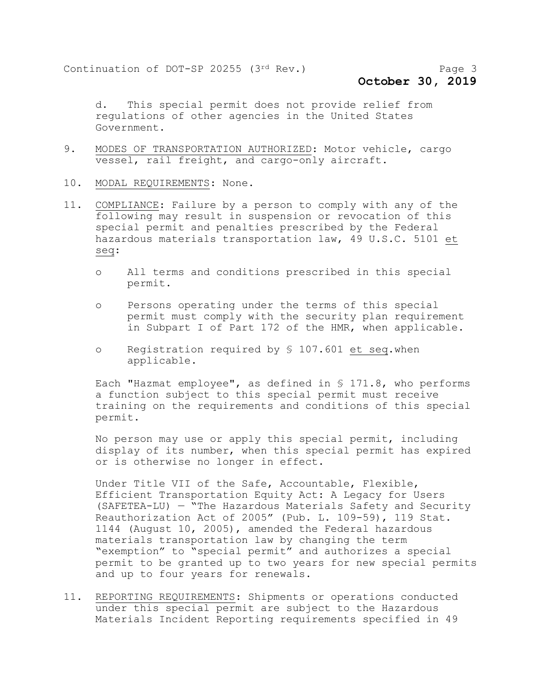**October 30, 2019**

d. This special permit does not provide relief from regulations of other agencies in the United States Government.

- 9. MODES OF TRANSPORTATION AUTHORIZED: Motor vehicle, cargo vessel, rail freight, and cargo-only aircraft.
- 10. MODAL REQUIREMENTS: None.
- 11. COMPLIANCE: Failure by a person to comply with any of the following may result in suspension or revocation of this special permit and penalties prescribed by the Federal hazardous materials transportation law, 49 U.S.C. 5101 et seq:
	- o All terms and conditions prescribed in this special permit.
	- o Persons operating under the terms of this special permit must comply with the security plan requirement in Subpart I of Part 172 of the HMR, when applicable.
	- o Registration required by § 107.601 et seq.when applicable.

Each "Hazmat employee", as defined in § 171.8, who performs a function subject to this special permit must receive training on the requirements and conditions of this special permit.

No person may use or apply this special permit, including display of its number, when this special permit has expired or is otherwise no longer in effect.

Under Title VII of the Safe, Accountable, Flexible, Efficient Transportation Equity Act: A Legacy for Users (SAFETEA-LU) — "The Hazardous Materials Safety and Security Reauthorization Act of 2005" (Pub. L. 109-59), 119 Stat. 1144 (August 10, 2005), amended the Federal hazardous materials transportation law by changing the term "exemption" to "special permit" and authorizes a special permit to be granted up to two years for new special permits and up to four years for renewals.

11. REPORTING REQUIREMENTS: Shipments or operations conducted under this special permit are subject to the Hazardous Materials Incident Reporting requirements specified in 49